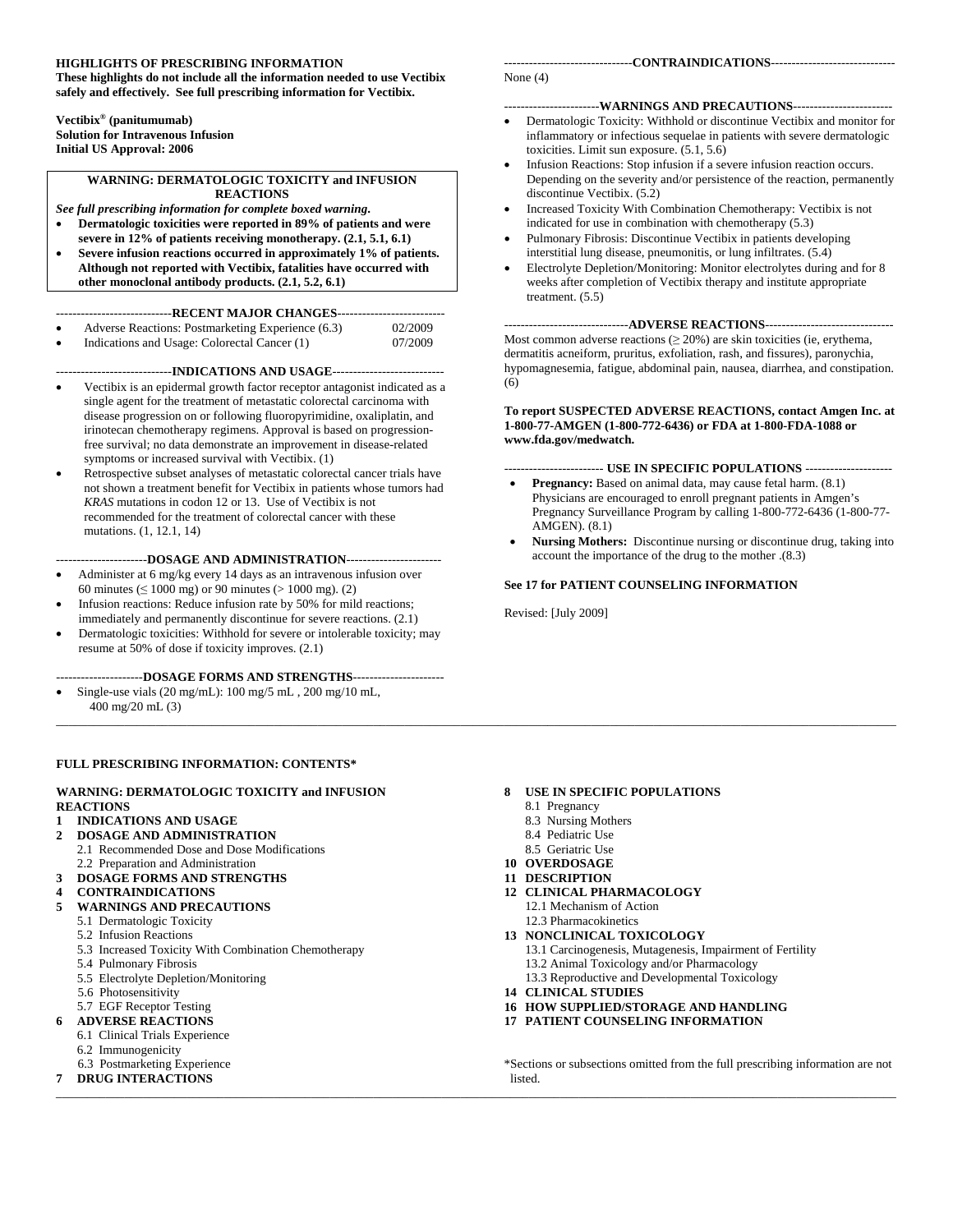#### <span id="page-0-0"></span>**HIGHLIGHTS OF PRESCRIBING INFORMATION**

**These highlights do not include all the information needed to use Vectibix safely and effectively. See full prescribing information for Vectibix.** 

**Vectibix® (panitumumab) Solution for Intravenous Infusion Initial US Approval: 2006** 

#### **WARNING: DERMATOLOGIC TOXICITY and INFUSION REACTIONS**

*See full prescribing information for complete boxed warning***.** 

- **Dermatologic toxicities were reported in 89% of patients and were severe in 12% of patients receiving monotherapy. (2.1, 5.1, 6.1)**
- **Severe infusion reactions occurred in approximately 1% of patients. Although not reported with Vectibix, fatalities have occurred with other monoclonal antibody products. (2.1, 5.2, 6.1)**

----------------------------**RECENT MAJOR CHANGES**--------------------------

| Adverse Reactions: Postmarketing Experience (6.3) | 02/2009          |
|---------------------------------------------------|------------------|
| Indications and Heage: Colorectal Cancer (1)      | <u> 07/2000 </u> |

```
Indications and Usage: Colorectal Cancer (1) 07/2009
```
----------------------------**INDICATIONS AND USAGE**---------------------------

- Vectibix is an epidermal growth factor receptor antagonist indicated as a single agent for the treatment of metastatic colorectal carcinoma with disease progression on or following fluoropyrimidine, oxaliplatin, and irinotecan chemotherapy regimens. Approval is based on progressionfree survival; no data demonstrate an improvement in disease-related symptoms or increased survival with Vectibix. (1)
- Retrospective subset analyses of metastatic colorectal cancer trials have not shown a treatment benefit for Vectibix in patients whose tumors had *KRAS* mutations in codon 12 or 13. Use of Vectibix is not recommended for the treatment of colorectal cancer with these mutations. (1, 12.1, 14)

----------------------**DOSAGE AND ADMINISTRATION**-----------------------

- Administer at 6 mg/kg every 14 days as an intravenous infusion over 60 minutes ( $\leq 1000$  mg) or 90 minutes ( $> 1000$  mg). (2)
- Infusion reactions: Reduce infusion rate by 50% for mild reactions; immediately and permanently discontinue for severe reactions. (2.1)
- Dermatologic toxicities: Withhold for severe or intolerable toxicity; may resume at 50% of dose if toxicity improves. (2.1)

---------------------**DOSAGE FORMS AND STRENGTHS**----------------------

• Single-use vials (20 mg/mL): 100 mg/5 mL , 200 mg/10 mL, 400 mg/20 mL (3)

#### **FULL PRESCRIBING INFORMATION: CONTENTS\***

#### **WARNING: DERMATOLOGIC TOXICITY and INFUSION REACTIONS**

#### **1 INDICATIONS AND USAGE**

- **2 DOSAGE AND ADMINISTRATION** 
	- 2.1 Recommended Dose and Dose Modifications 2.2 Preparation and Administration
- **3 DOSAGE FORMS AND STRENGTHS**
- **4 CONTRAINDICATIONS**

#### **5 WARNINGS AND PRECAUTIONS**

- 5.1 Dermatologic Toxicity
- 5.2 Infusion Reactions
- 5.3 Increased Toxicity With Combination Chemotherapy
- 5.4 Pulmonary Fibrosis
- 5.5 Electrolyte Depletion/Monitoring
- 5.6 Photosensitivity
- 5.7 EGF Receptor Testing
- **6 ADVERSE REACTIONS** 
	- 6.1 Clinical Trials Experience
	- 6.2 Immunogenicity
	- 6.3 Postmarketing Experience
- **7 DRUG INTERACTIONS**  \_\_\_\_\_\_\_\_\_\_\_\_\_\_\_\_\_\_\_\_\_\_\_\_\_\_\_\_\_\_\_\_\_\_\_\_\_\_\_\_\_\_\_\_\_\_\_\_\_\_\_\_\_\_\_\_\_\_\_\_\_\_\_\_\_\_\_\_\_\_\_\_\_\_\_\_\_\_\_\_\_\_\_\_\_\_\_\_\_\_\_\_\_\_\_\_\_\_\_\_\_\_\_\_\_\_\_\_\_\_\_\_\_\_\_\_\_\_\_\_\_\_\_\_\_\_\_\_\_\_\_\_\_\_\_

#### -------------------------------**CONTRAINDICATIONS**------------------------------

None (4)

#### -----------------------**WARNINGS AND PRECAUTIONS**------------------------

- Dermatologic Toxicity: Withhold or discontinue Vectibix and monitor for inflammatory or infectious sequelae in patients with severe dermatologic toxicities. Limit sun exposure. (5.1, 5.6)
- Infusion Reactions: Stop infusion if a severe infusion reaction occurs. Depending on the severity and/or persistence of the reaction, permanently discontinue Vectibix. (5.2)
- Increased Toxicity With Combination Chemotherapy: Vectibix is not indicated for use in combination with chemotherapy (5.3)
- Pulmonary Fibrosis: Discontinue Vectibix in patients developing interstitial lung disease, pneumonitis, or lung infiltrates. (5.4)
- Electrolyte Depletion/Monitoring: Monitor electrolytes during and for 8 weeks after completion of Vectibix therapy and institute appropriate treatment. (5.5)

#### ------------------------------**ADVERSE REACTIONS**-------------------------------

Most common adverse reactions  $(\geq 20\%)$  are skin toxicities (ie, erythema, dermatitis acneiform, pruritus, exfoliation, rash, and fissures), paronychia, hypomagnesemia, fatigue, abdominal pain, nausea, diarrhea, and constipation. (6)

#### **To report SUSPECTED ADVERSE REACTIONS, contact Amgen Inc. at 1-800-77-AMGEN (1-800-772-6436) or FDA at 1-800-FDA-1088 or www.fda.gov/medwatch.**

#### ------------------------ **USE IN SPECIFIC POPULATIONS** ---------------------

- **Pregnancy:** Based on animal data, may cause fetal harm.  $(8.1)$ Physicians are encouraged to enroll pregnant patients in Amgen's Pregnancy Surveillance Program by calling 1-800-772-6436 (1-800-77-AMGEN). (8.1)
- **Nursing Mothers:** Discontinue nursing or discontinue drug, taking into account the importance of the drug to the mother .(8.3)

#### **See 17 for PATIENT COUNSELING INFORMATION**

Revised: [July 2009]

- **8 USE IN SPECIFIC POPULATIONS** 
	- 8.1 Pregnancy

\_\_\_\_\_\_\_\_\_\_\_\_\_\_\_\_\_\_\_\_\_\_\_\_\_\_\_\_\_\_\_\_\_\_\_\_\_\_\_\_\_\_\_\_\_\_\_\_\_\_\_\_\_\_\_\_\_\_\_\_\_\_\_\_\_\_\_\_\_\_\_\_\_\_\_\_\_\_\_\_\_\_\_\_\_\_\_\_\_\_\_\_\_\_\_\_\_\_\_\_\_\_\_\_\_\_\_\_\_\_\_\_\_\_\_\_\_\_\_\_\_\_\_\_\_\_\_\_\_\_\_\_\_\_\_

- 8.3 Nursing Mothers
- 8.4 Pediatric Use
- 8.5 Geriatric Use **10 OVERDOSAGE**
- **11 DESCRIPTION**
- **12 CLINICAL PHARMACOLOGY**
- 12.1 Mechanism of Action
- 12.3 Pharmacokinetics **13 NONCLINICAL TOXICOLOGY** 
	- 13.1 Carcinogenesis, Mutagenesis, Impairment of Fertility
	- 13.2 Animal Toxicology and/or Pharmacology
	- 13.3 Reproductive and Developmental Toxicology
- **14 CLINICAL STUDIES**
- **16 HOW SUPPLIED/STORAGE AND HANDLING**
- **17 PATIENT COUNSELING INFORMATION**

\*Sections or subsections omitted from the full prescribing information are not listed.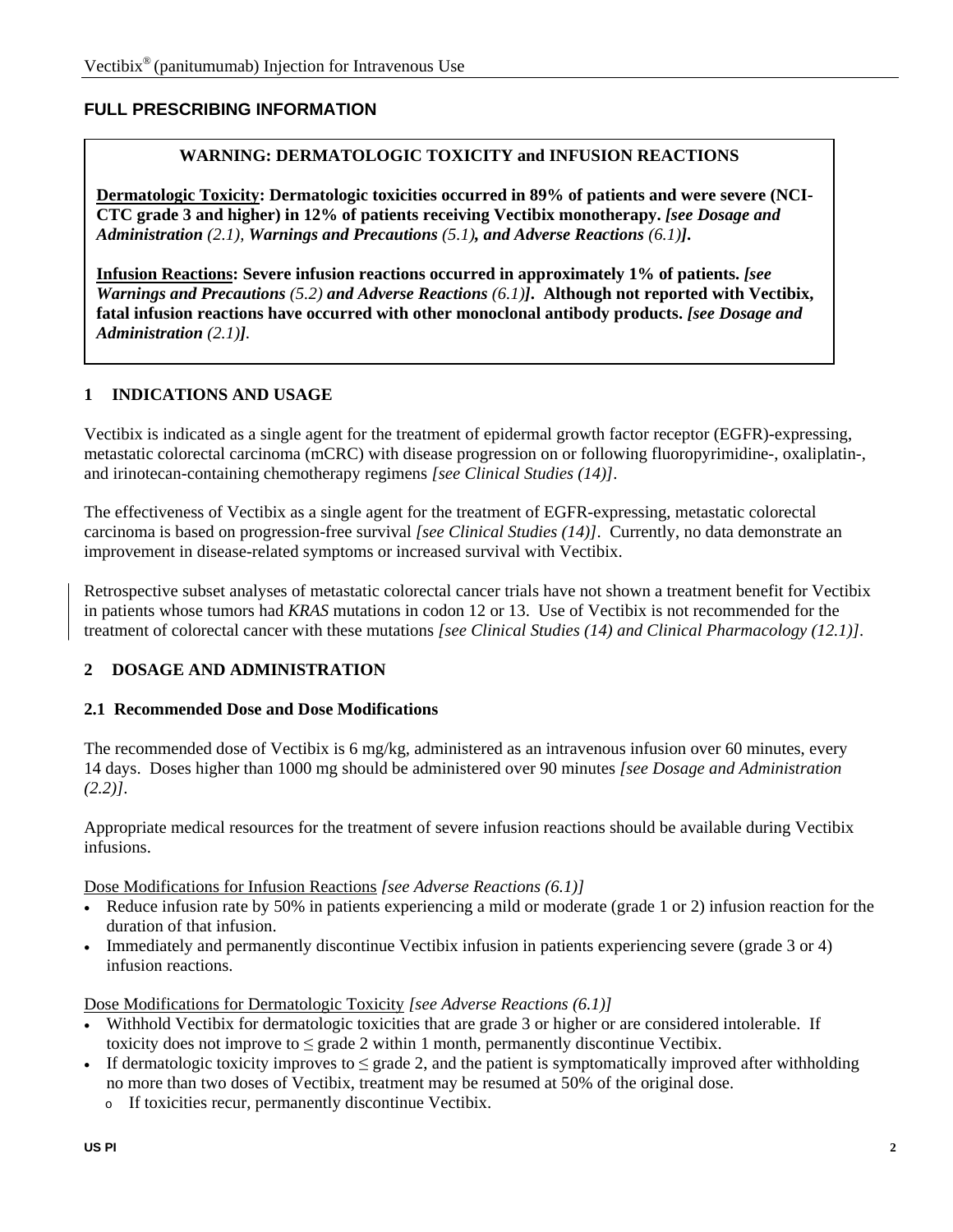### **FULL PRESCRIBING INFORMATION**

#### **WARNING: DERMATOLOGIC TOXICITY and INFUSION REACTIONS**

**Dermatologic Toxicity: Dermatologic toxicities occurred in 89% of patients and were severe (NCI-CTC grade 3 and higher) in 12% of patients receiving Vectibix monotherapy.** *[see Dosage and Administration (2.1), [Warnings and Precautions](#page-0-0) (5.1), and Adverse Reactions (6.1)]***.** 

**Infusion Reactions: Severe infusion reactions occurred in approximately 1% of patients.** *[see [Warnings and Precautions](#page-0-0) (5.2) and Adverse Reactions (6.1)]***. Although not reported with Vectibix, fatal infusion reactions have occurred with other monoclonal antibody products.** *[see Dosage and Administration (2.1)]***.** 

#### **1 INDICATIONS AND USAGE**

Vectibix is indicated as a single agent for the treatment of epidermal growth factor receptor (EGFR)-expressing, metastatic colorectal carcinoma (mCRC) with disease progression on or following fluoropyrimidine-, oxaliplatin-, and irinotecan-containing chemotherapy regimens *[see Clinical Studies (14)]*.

The effectiveness of Vectibix as a single agent for the treatment of EGFR-expressing, metastatic colorectal carcinoma is based on progression-free survival *[see Clinical Studies (14)]*. Currently, no data demonstrate an improvement in disease-related symptoms or increased survival with Vectibix.

Retrospective subset analyses of metastatic colorectal cancer trials have not shown a treatment benefit for Vectibix in patients whose tumors had *KRAS* mutations in codon 12 or 13. Use of Vectibix is not recommended for the treatment of colorectal cancer with these mutations *[see Clinical Studies (14) and Clinical Pharmacology (12.1)]*.

#### **2 DOSAGE AND ADMINISTRATION**

#### **2.1 Recommended Dose and Dose Modifications**

The recommended dose of Vectibix is 6 mg/kg, administered as an intravenous infusion over 60 minutes, every 14 days. Doses higher than 1000 mg should be administered over 90 minutes *[see Dosage and Administration (2.2)]*.

Appropriate medical resources for the treatment of severe infusion reactions should be available during Vectibix infusions.

Dose Modifications for Infusion Reactions *[see Adverse Reactions (6.1)]* 

- Reduce infusion rate by 50% in patients experiencing a mild or moderate (grade 1 or 2) infusion reaction for the duration of that infusion.
- Immediately and permanently discontinue Vectibix infusion in patients experiencing severe (grade 3 or 4) infusion reactions.

Dose Modifications for Dermatologic Toxicity *[see Adverse Reactions (6.1)]* 

- Withhold Vectibix for dermatologic toxicities that are grade 3 or higher or are considered intolerable. If toxicity does not improve to  $\leq$  grade 2 within 1 month, permanently discontinue Vectibix.
- If dermatologic toxicity improves to  $\leq$  grade 2, and the patient is symptomatically improved after withholding no more than two doses of Vectibix, treatment may be resumed at 50% of the original dose.
	- o If toxicities recur, permanently discontinue Vectibix.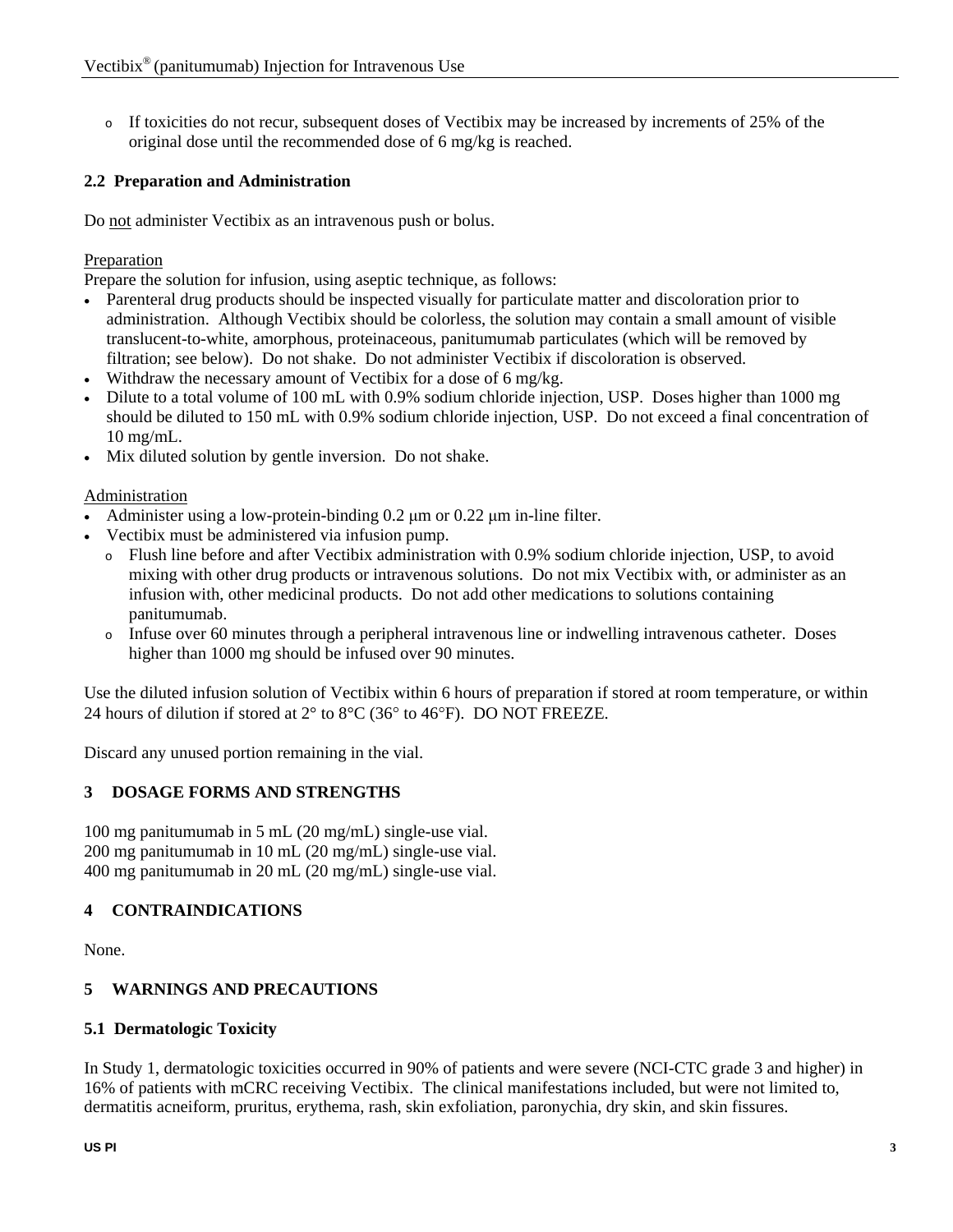o If toxicities do not recur, subsequent doses of Vectibix may be increased by increments of 25% of the original dose until the recommended dose of 6 mg/kg is reached.

# **2.2 Preparation and Administration**

Do not administer Vectibix as an intravenous push or bolus.

#### Preparation

Prepare the solution for infusion, using aseptic technique, as follows:

- Parenteral drug products should be inspected visually for particulate matter and discoloration prior to administration. Although Vectibix should be colorless, the solution may contain a small amount of visible translucent-to-white, amorphous, proteinaceous, panitumumab particulates (which will be removed by filtration; see below). Do not shake. Do not administer Vectibix if discoloration is observed.
- Withdraw the necessary amount of Vectibix for a dose of 6 mg/kg.
- Dilute to a total volume of 100 mL with 0.9% sodium chloride injection, USP. Doses higher than 1000 mg should be diluted to 150 mL with 0.9% sodium chloride injection, USP. Do not exceed a final concentration of 10 mg/mL.
- Mix diluted solution by gentle inversion. Do not shake.

#### Administration

- Administer using a low-protein-binding 0.2 μm or 0.22 μm in-line filter.
- Vectibix must be administered via infusion pump.
	- o Flush line before and after Vectibix administration with 0.9% sodium chloride injection, USP, to avoid mixing with other drug products or intravenous solutions. Do not mix Vectibix with, or administer as an infusion with, other medicinal products. Do not add other medications to solutions containing panitumumab.
	- o Infuse over 60 minutes through a peripheral intravenous line or indwelling intravenous catheter. Doses higher than 1000 mg should be infused over 90 minutes.

Use the diluted infusion solution of Vectibix within 6 hours of preparation if stored at room temperature, or within 24 hours of dilution if stored at  $2^{\circ}$  to  $8^{\circ}$ C (36 $^{\circ}$  to 46 $^{\circ}$ F). DO NOT FREEZE.

Discard any unused portion remaining in the vial.

### **3 DOSAGE FORMS AND STRENGTHS**

100 mg panitumumab in 5 mL (20 mg/mL) single-use vial. 200 mg panitumumab in 10 mL (20 mg/mL) single-use vial. 400 mg panitumumab in 20 mL (20 mg/mL) single-use vial.

### **4 CONTRAINDICATIONS**

None.

### **5 WARNINGS AND PRECAUTIONS**

### **5.1 Dermatologic Toxicity**

In Study 1, dermatologic toxicities occurred in 90% of patients and were severe (NCI-CTC grade 3 and higher) in 16% of patients with mCRC receiving Vectibix. The clinical manifestations included, but were not limited to, dermatitis acneiform, pruritus, erythema, rash, skin exfoliation, paronychia, dry skin, and skin fissures.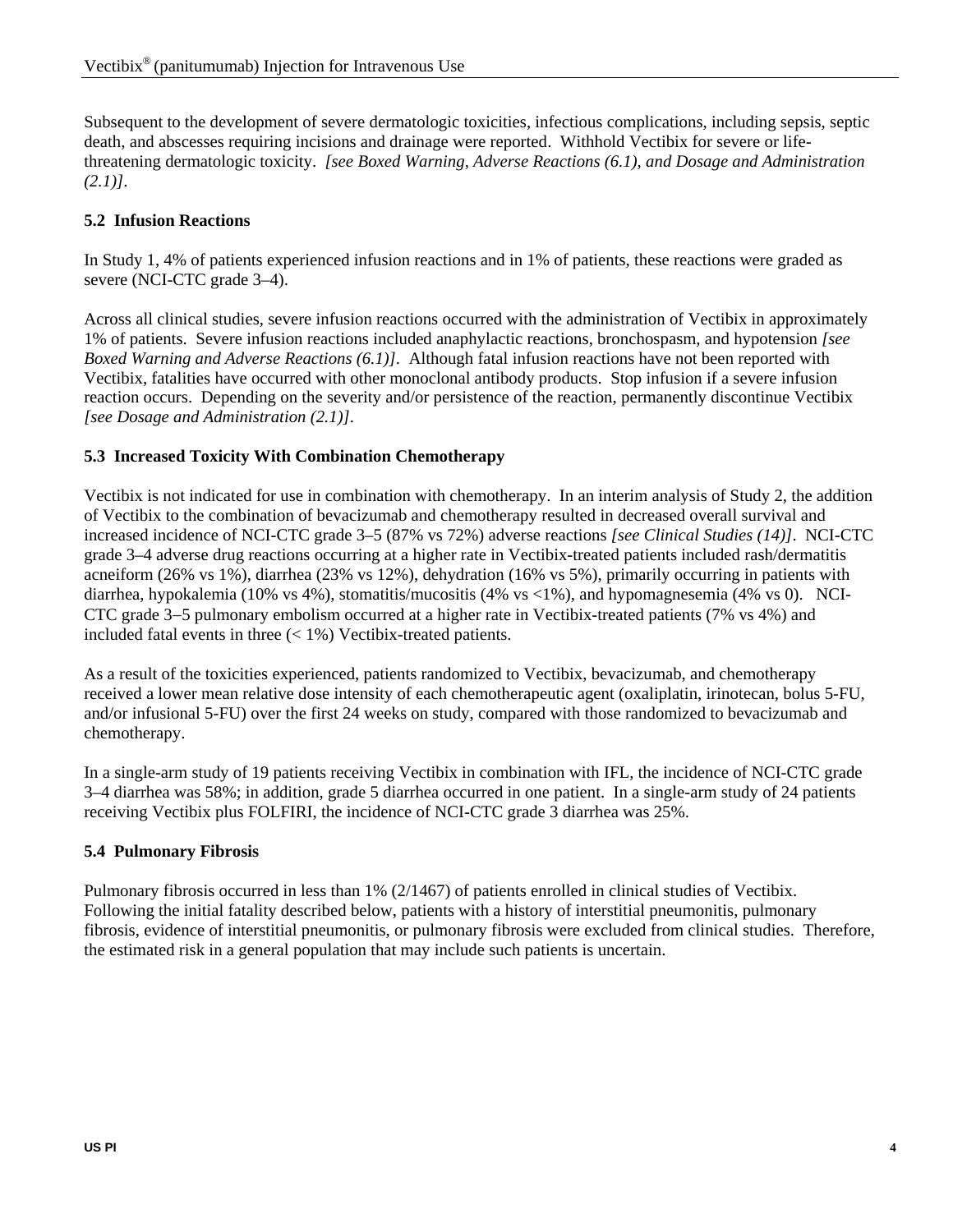Subsequent to the development of severe dermatologic toxicities, infectious complications, including sepsis, septic death, and abscesses requiring incisions and drainage were reported. Withhold Vectibix for severe or lifethreatening dermatologic toxicity. *[see Boxed Warning, Adverse Reactions (6.1), and Dosage and Administration (2.1)]*.

# **5.2 Infusion Reactions**

In Study 1, 4% of patients experienced infusion reactions and in 1% of patients, these reactions were graded as severe (NCI-CTC grade 3–4).

Across all clinical studies, severe infusion reactions occurred with the administration of Vectibix in approximately 1% of patients. Severe infusion reactions included anaphylactic reactions, bronchospasm, and hypotension *[see Boxed Warning and Adverse Reactions (6.1)]*. Although fatal infusion reactions have not been reported with Vectibix, fatalities have occurred with other monoclonal antibody products. Stop infusion if a severe infusion reaction occurs. Depending on the severity and/or persistence of the reaction, permanently discontinue Vectibix *[see Dosage and Administration (2.1)]*.

### **5.3 Increased Toxicity With Combination Chemotherapy**

Vectibix is not indicated for use in combination with chemotherapy. In an interim analysis of Study 2, the addition of Vectibix to the combination of bevacizumab and chemotherapy resulted in decreased overall survival and increased incidence of NCI-CTC grade 3–5 (87% vs 72%) adverse reactions *[see Clinical Studies (14)]*. NCI-CTC grade 3–4 adverse drug reactions occurring at a higher rate in Vectibix-treated patients included rash/dermatitis acneiform (26% vs 1%), diarrhea (23% vs 12%), dehydration (16% vs 5%), primarily occurring in patients with diarrhea, hypokalemia (10% vs 4%), stomatitis/mucositis (4% vs <1%), and hypomagnesemia (4% vs 0). NCI-CTC grade 3−5 pulmonary embolism occurred at a higher rate in Vectibix-treated patients (7% vs 4%) and included fatal events in three  $\left($  < 1%) Vectibix-treated patients.

As a result of the toxicities experienced, patients randomized to Vectibix, bevacizumab, and chemotherapy received a lower mean relative dose intensity of each chemotherapeutic agent (oxaliplatin, irinotecan, bolus 5-FU, and/or infusional 5-FU) over the first 24 weeks on study, compared with those randomized to bevacizumab and chemotherapy.

In a single-arm study of 19 patients receiving Vectibix in combination with IFL, the incidence of NCI-CTC grade 3–4 diarrhea was 58%; in addition, grade 5 diarrhea occurred in one patient. In a single-arm study of 24 patients receiving Vectibix plus FOLFIRI, the incidence of NCI-CTC grade 3 diarrhea was 25%.

### **5.4 Pulmonary Fibrosis**

Pulmonary fibrosis occurred in less than 1% (2/1467) of patients enrolled in clinical studies of Vectibix. Following the initial fatality described below, patients with a history of interstitial pneumonitis, pulmonary fibrosis, evidence of interstitial pneumonitis, or pulmonary fibrosis were excluded from clinical studies. Therefore, the estimated risk in a general population that may include such patients is uncertain.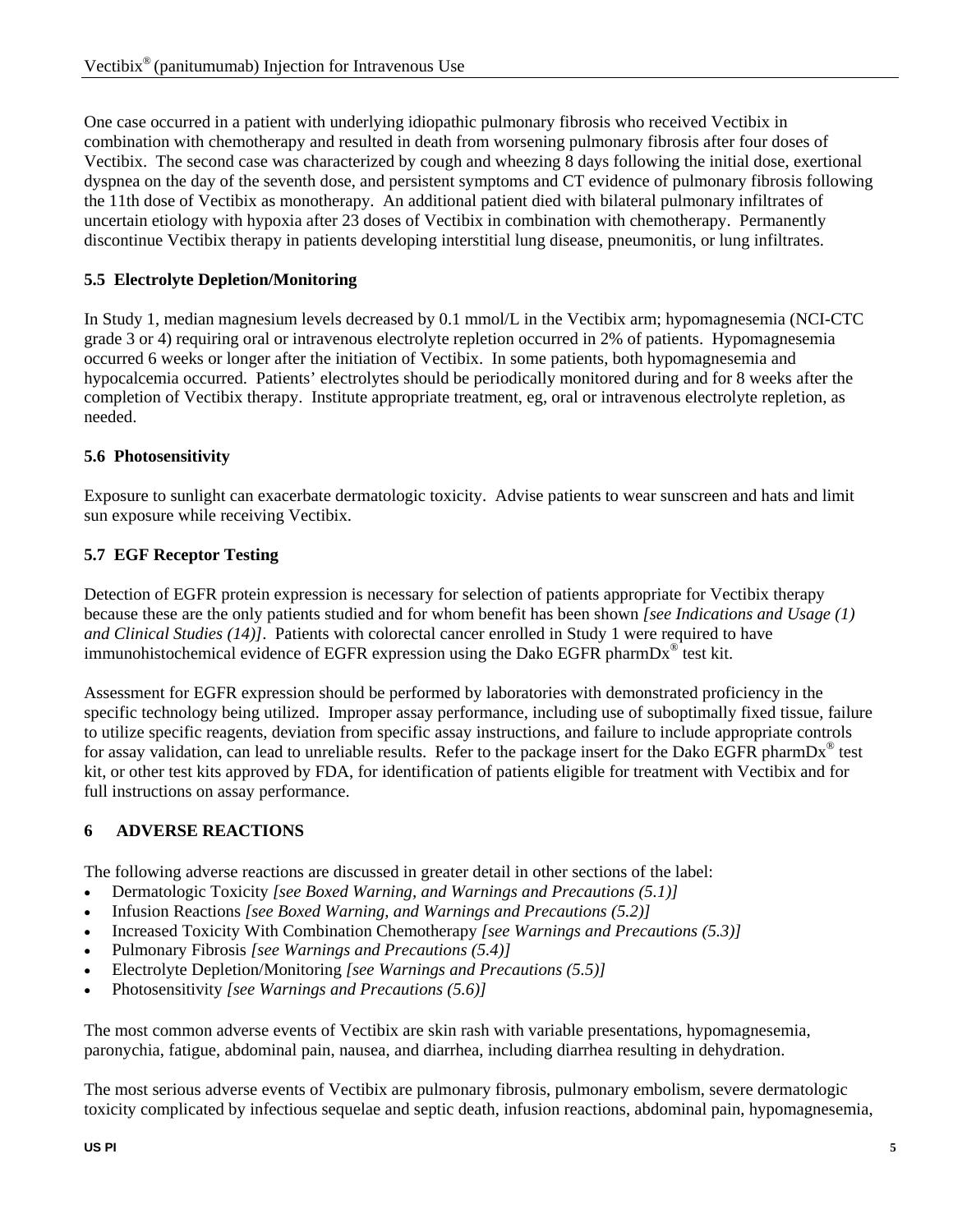One case occurred in a patient with underlying idiopathic pulmonary fibrosis who received Vectibix in combination with chemotherapy and resulted in death from worsening pulmonary fibrosis after four doses of Vectibix. The second case was characterized by cough and wheezing 8 days following the initial dose, exertional dyspnea on the day of the seventh dose, and persistent symptoms and CT evidence of pulmonary fibrosis following the 11th dose of Vectibix as monotherapy. An additional patient died with bilateral pulmonary infiltrates of uncertain etiology with hypoxia after 23 doses of Vectibix in combination with chemotherapy. Permanently discontinue Vectibix therapy in patients developing interstitial lung disease, pneumonitis, or lung infiltrates.

# **5.5 Electrolyte Depletion/Monitoring**

In Study 1, median magnesium levels decreased by 0.1 mmol/L in the Vectibix arm; hypomagnesemia (NCI-CTC grade 3 or 4) requiring oral or intravenous electrolyte repletion occurred in 2% of patients. Hypomagnesemia occurred 6 weeks or longer after the initiation of Vectibix. In some patients, both hypomagnesemia and hypocalcemia occurred. Patients' electrolytes should be periodically monitored during and for 8 weeks after the completion of Vectibix therapy. Institute appropriate treatment, eg, oral or intravenous electrolyte repletion, as needed.

# **5.6 Photosensitivity**

Exposure to sunlight can exacerbate dermatologic toxicity.Advise patients to wear sunscreen and hats and limit sun exposure while receiving Vectibix.

# **5.7 EGF Receptor Testing**

Detection of EGFR protein expression is necessary for selection of patients appropriate for Vectibix therapy because these are the only patients studied and for whom benefit has been shown *[see Indications and Usage (1) and Clinical Studies (14)]*. Patients with colorectal cancer enrolled in Study 1 were required to have immunohistochemical evidence of EGFR expression using the Dako EGFR pharmDx® test kit.

Assessment for EGFR expression should be performed by laboratories with demonstrated proficiency in the specific technology being utilized. Improper assay performance, including use of suboptimally fixed tissue, failure to utilize specific reagents, deviation from specific assay instructions, and failure to include appropriate controls for assay validation, can lead to unreliable results. Refer to the package insert for the Dako EGFR pharmDx<sup>®</sup> test kit, or other test kits approved by FDA, for identification of patients eligible for treatment with Vectibix and for full instructions on assay performance.

# **6 ADVERSE REACTIONS**

The following adverse reactions are discussed in greater detail in other sections of the label:

- Dermatologic Toxicity *[see Boxed Warning, and Warnings and Precautions (5.1)]*
- Infusion Reactions *[see Boxed Warning, and Warnings and Precautions (5.2)]*
- Increased Toxicity With Combination Chemotherapy *[see Warnings and Precautions (5.3)]*
- Pulmonary Fibrosis *[see Warnings and Precautions (5.4)]*
- Electrolyte Depletion/Monitoring *[see Warnings and Precautions (5.5)]*
- Photosensitivity *[see Warnings and Precautions (5.6)]*

The most common adverse events of Vectibix are skin rash with variable presentations, hypomagnesemia, paronychia, fatigue, abdominal pain, nausea, and diarrhea, including diarrhea resulting in dehydration.

The most serious adverse events of Vectibix are pulmonary fibrosis, pulmonary embolism, severe dermatologic toxicity complicated by infectious sequelae and septic death, infusion reactions, abdominal pain, hypomagnesemia,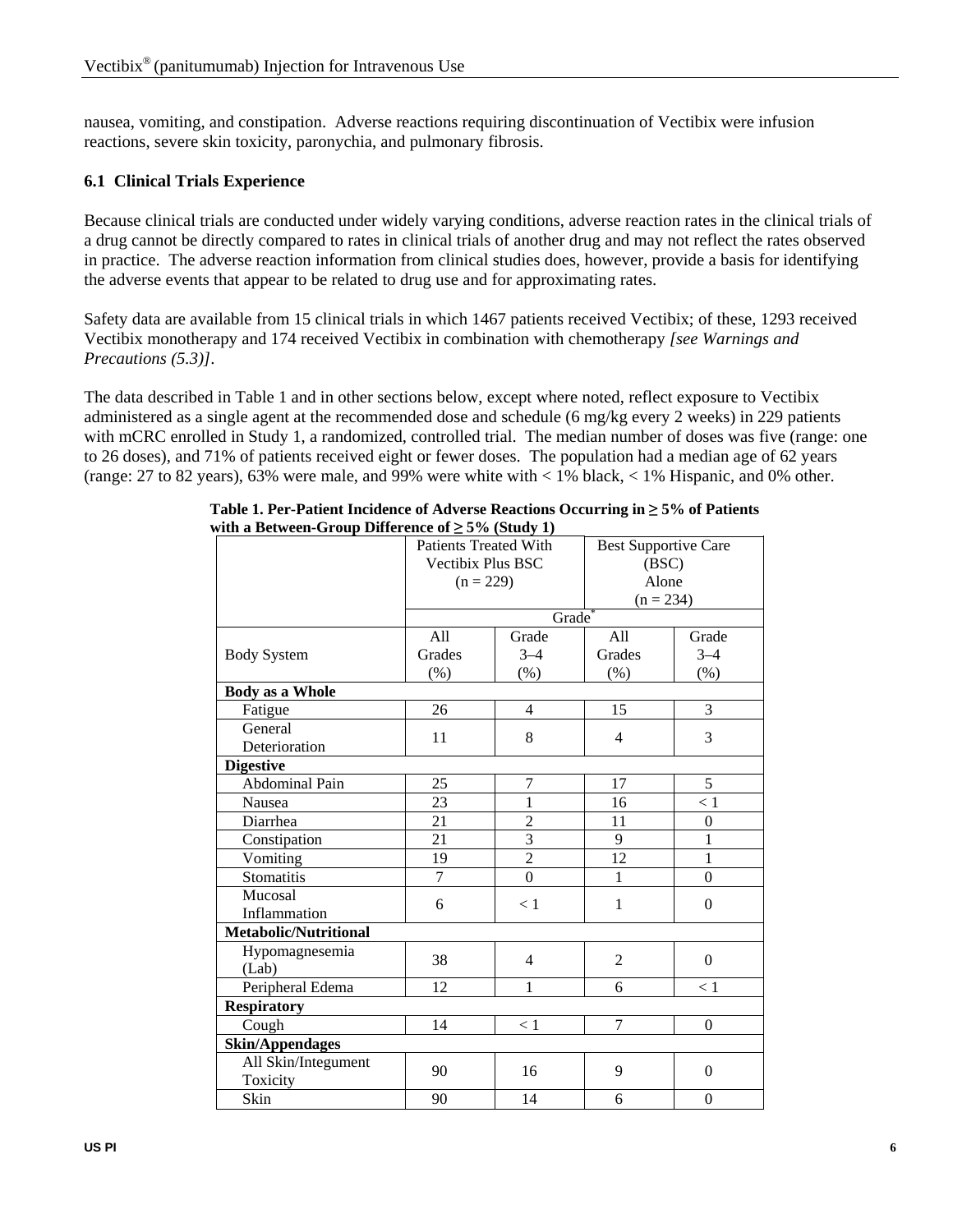nausea, vomiting, and constipation. Adverse reactions requiring discontinuation of Vectibix were infusion reactions, severe skin toxicity, paronychia, and pulmonary fibrosis.

#### **6.1 Clinical Trials Experience**

Because clinical trials are conducted under widely varying conditions, adverse reaction rates in the clinical trials of a drug cannot be directly compared to rates in clinical trials of another drug and may not reflect the rates observed in practice. The adverse reaction information from clinical studies does, however, provide a basis for identifying the adverse events that appear to be related to drug use and for approximating rates.

Safety data are available from 15 clinical trials in which 1467 patients received Vectibix; of these, 1293 received Vectibix monotherapy and 174 received Vectibix in combination with chemotherapy *[see Warnings and Precautions (5.3)]*.

The data described in Table 1 and in other sections below, except where noted, reflect exposure to Vectibix administered as a single agent at the recommended dose and schedule (6 mg/kg every 2 weeks) in 229 patients with mCRC enrolled in Study 1, a randomized, controlled trial. The median number of doses was five (range: one to 26 doses), and 71% of patients received eight or fewer doses. The population had a median age of 62 years (range: 27 to 82 years), 63% were male, and 99% were white with < 1% black, < 1% Hispanic, and 0% other.

| $\frac{1}{2}$ when $\frac{1}{2}$ is the summer of $\frac{1}{2}$ of $\frac{1}{2}$ is the set of $\frac{1}{2}$ | <b>Patients Treated With</b><br>Vectibix Plus BSC |                | <b>Best Supportive Care</b><br>(BSC) |                  |  |
|--------------------------------------------------------------------------------------------------------------|---------------------------------------------------|----------------|--------------------------------------|------------------|--|
|                                                                                                              | $(n = 229)$                                       |                | Alone                                |                  |  |
|                                                                                                              | Grade                                             |                | $(n = 234)$                          |                  |  |
|                                                                                                              | All<br>Grade<br>All<br>Grade                      |                |                                      |                  |  |
| <b>Body System</b>                                                                                           | Grades                                            | $3 - 4$        | Grades                               | $3 - 4$          |  |
|                                                                                                              | (% )                                              | (% )           | (% )                                 | (% )             |  |
| <b>Body as a Whole</b>                                                                                       |                                                   |                |                                      |                  |  |
| Fatigue                                                                                                      | 26                                                | $\overline{4}$ | 15                                   | 3                |  |
| General<br>Deterioration                                                                                     | 11                                                | 8              | 4                                    | 3                |  |
| <b>Digestive</b>                                                                                             |                                                   |                |                                      |                  |  |
| Abdominal Pain                                                                                               | 25                                                | $\tau$         | 17                                   | 5                |  |
| Nausea                                                                                                       | 23                                                | $\mathbf{1}$   | 16                                   | < 1              |  |
| Diarrhea                                                                                                     | 21                                                | $\overline{2}$ | 11                                   | $\boldsymbol{0}$ |  |
| Constipation                                                                                                 | 21                                                | 3              | 9                                    | $\mathbf{1}$     |  |
| Vomiting                                                                                                     | 19                                                | $\overline{c}$ | 12                                   | $\mathbf{1}$     |  |
| Stomatitis                                                                                                   | $\overline{7}$                                    | $\overline{0}$ | $\mathbf{1}$                         | $\Omega$         |  |
| Mucosal<br>Inflammation                                                                                      | 6                                                 | < 1            | $\mathbf{1}$                         | $\Omega$         |  |
| Metabolic/Nutritional                                                                                        |                                                   |                |                                      |                  |  |
| Hypomagnesemia<br>(Lab)                                                                                      | 38                                                | $\overline{4}$ | $\overline{2}$                       | $\boldsymbol{0}$ |  |
| Peripheral Edema                                                                                             | 12                                                | 1              | 6                                    | < 1              |  |
| <b>Respiratory</b>                                                                                           |                                                   |                |                                      |                  |  |
| Cough                                                                                                        | 14                                                | < 1            | $\overline{7}$                       | $\Omega$         |  |
| <b>Skin/Appendages</b>                                                                                       |                                                   |                |                                      |                  |  |
| All Skin/Integument<br>Toxicity                                                                              | 90                                                | 16             | 9                                    | $\Omega$         |  |
| Skin                                                                                                         | 90                                                | 14             | 6                                    | $\boldsymbol{0}$ |  |

**Table 1. Per-Patient Incidence of Adverse Reactions Occurring in ≥ 5% of Patients with a Between-Group Difference of ≥ 5% (Study 1)**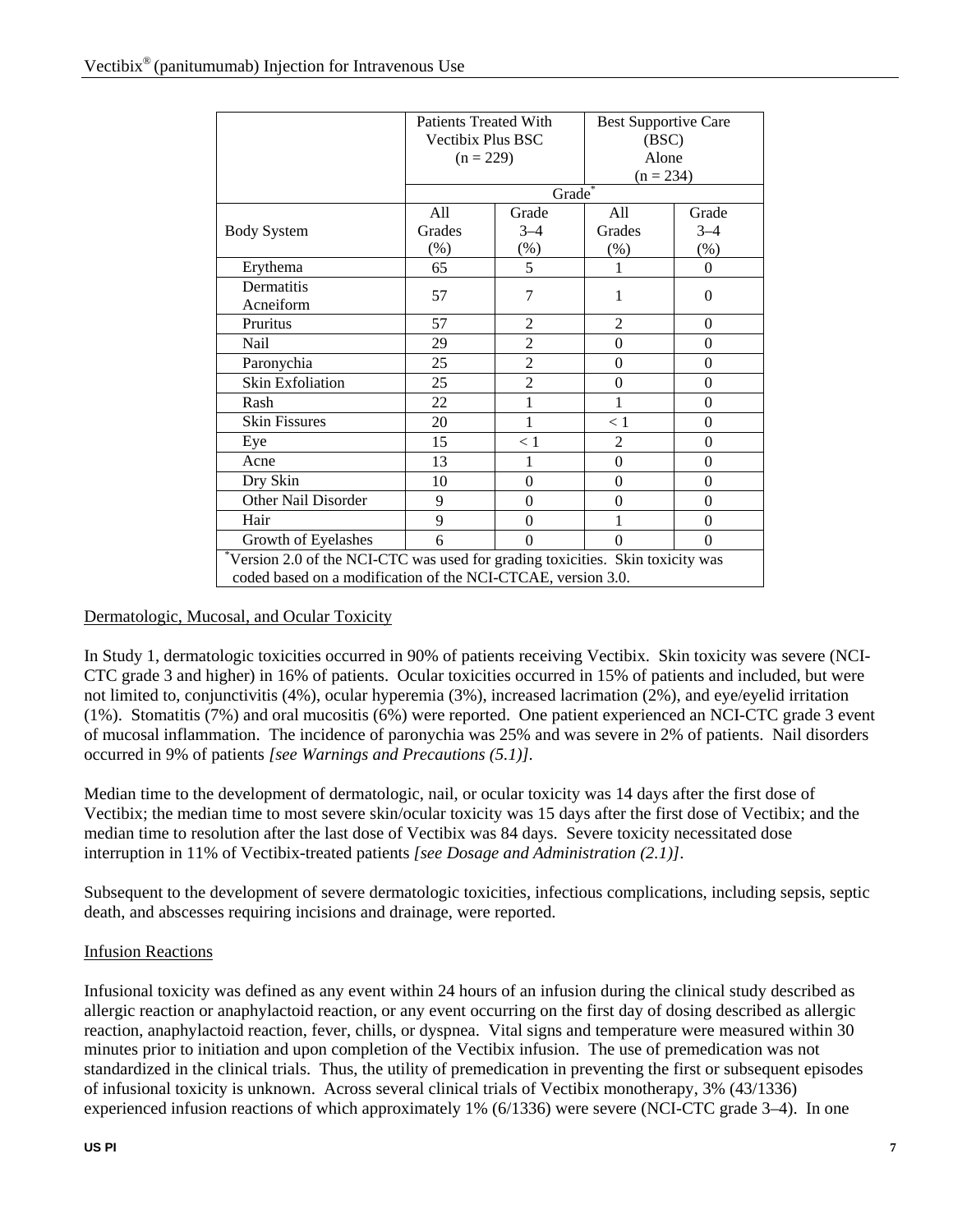|                                                                                                                                               | <b>Patients Treated With</b><br>Vectibix Plus BSC |                | <b>Best Supportive Care</b><br>(BSC) |          |  |
|-----------------------------------------------------------------------------------------------------------------------------------------------|---------------------------------------------------|----------------|--------------------------------------|----------|--|
|                                                                                                                                               | $(n = 229)$                                       |                | Alone<br>$(n = 234)$                 |          |  |
|                                                                                                                                               |                                                   | Grade          |                                      |          |  |
|                                                                                                                                               | All                                               | Grade          | All                                  | Grade    |  |
| <b>Body System</b>                                                                                                                            | Grades                                            | $3 - 4$        | Grades                               | $3 - 4$  |  |
|                                                                                                                                               | $(\%)$                                            | $(\%)$         | $(\%)$                               | $(\%)$   |  |
| Erythema                                                                                                                                      | 65                                                | 5              | 1                                    | $\Omega$ |  |
| Dermatitis<br>Acneiform                                                                                                                       | 57                                                | $\overline{7}$ | 1                                    | $\theta$ |  |
| Pruritus                                                                                                                                      | 57                                                | $\overline{2}$ | $\overline{2}$                       | $\Omega$ |  |
| Nail                                                                                                                                          | 29                                                | $\overline{2}$ | $\theta$                             | $\theta$ |  |
| Paronychia                                                                                                                                    | 25                                                | $\overline{2}$ | $\theta$                             | $\Omega$ |  |
| <b>Skin Exfoliation</b>                                                                                                                       | 25                                                | $\overline{2}$ | $\theta$                             | $\theta$ |  |
| Rash                                                                                                                                          | 22                                                | 1              | 1                                    | $\Omega$ |  |
| <b>Skin Fissures</b>                                                                                                                          | 20                                                | $\mathbf{1}$   | < 1                                  | $\theta$ |  |
| Eye                                                                                                                                           | 15                                                | < 1            | 2                                    | $\theta$ |  |
| Acne                                                                                                                                          | 13                                                | 1              | $\theta$                             | $\theta$ |  |
| Dry Skin                                                                                                                                      | 10                                                | $\theta$       | $\theta$                             | $\theta$ |  |
| Other Nail Disorder                                                                                                                           | 9                                                 | $\theta$       | $\theta$                             | $\theta$ |  |
| Hair                                                                                                                                          | 9                                                 | $\theta$       | 1                                    | $\theta$ |  |
| Growth of Eyelashes                                                                                                                           | 6                                                 | $\theta$       | $\theta$                             | $\Omega$ |  |
| Version 2.0 of the NCI-CTC was used for grading toxicities. Skin toxicity was<br>coded based on a modification of the NCI-CTCAE, version 3.0. |                                                   |                |                                      |          |  |

#### Dermatologic, Mucosal, and Ocular Toxicity

In Study 1, dermatologic toxicities occurred in 90% of patients receiving Vectibix. Skin toxicity was severe (NCI-CTC grade 3 and higher) in 16% of patients. Ocular toxicities occurred in 15% of patients and included, but were not limited to, conjunctivitis  $(4\%)$ , ocular hyperemia  $(3\%)$ , increased lacrimation  $(2\%)$ , and eye/eyelid irritation (1%). Stomatitis (7%) and oral mucositis (6%) were reported. One patient experienced an NCI-CTC grade 3 event of mucosal inflammation. The incidence of paronychia was 25% and was severe in 2% of patients. Nail disorders occurred in 9% of patients *[see Warnings and Precautions (5.1)].*

Median time to the development of dermatologic, nail, or ocular toxicity was 14 days after the first dose of Vectibix; the median time to most severe skin/ocular toxicity was 15 days after the first dose of Vectibix; and the median time to resolution after the last dose of Vectibix was 84 days. Severe toxicity necessitated dose interruption in 11% of Vectibix-treated patients *[see Dosage and Administration (2.1)]*.

Subsequent to the development of severe dermatologic toxicities, infectious complications, including sepsis, septic death, and abscesses requiring incisions and drainage, were reported.

#### Infusion Reactions

Infusional toxicity was defined as any event within 24 hours of an infusion during the clinical study described as allergic reaction or anaphylactoid reaction, or any event occurring on the first day of dosing described as allergic reaction, anaphylactoid reaction, fever, chills, or dyspnea. Vital signs and temperature were measured within 30 minutes prior to initiation and upon completion of the Vectibix infusion. The use of premedication was not standardized in the clinical trials. Thus, the utility of premedication in preventing the first or subsequent episodes of infusional toxicity is unknown. Across several clinical trials of Vectibix monotherapy, 3% (43/1336) experienced infusion reactions of which approximately 1% (6/1336) were severe (NCI-CTC grade 3–4). In one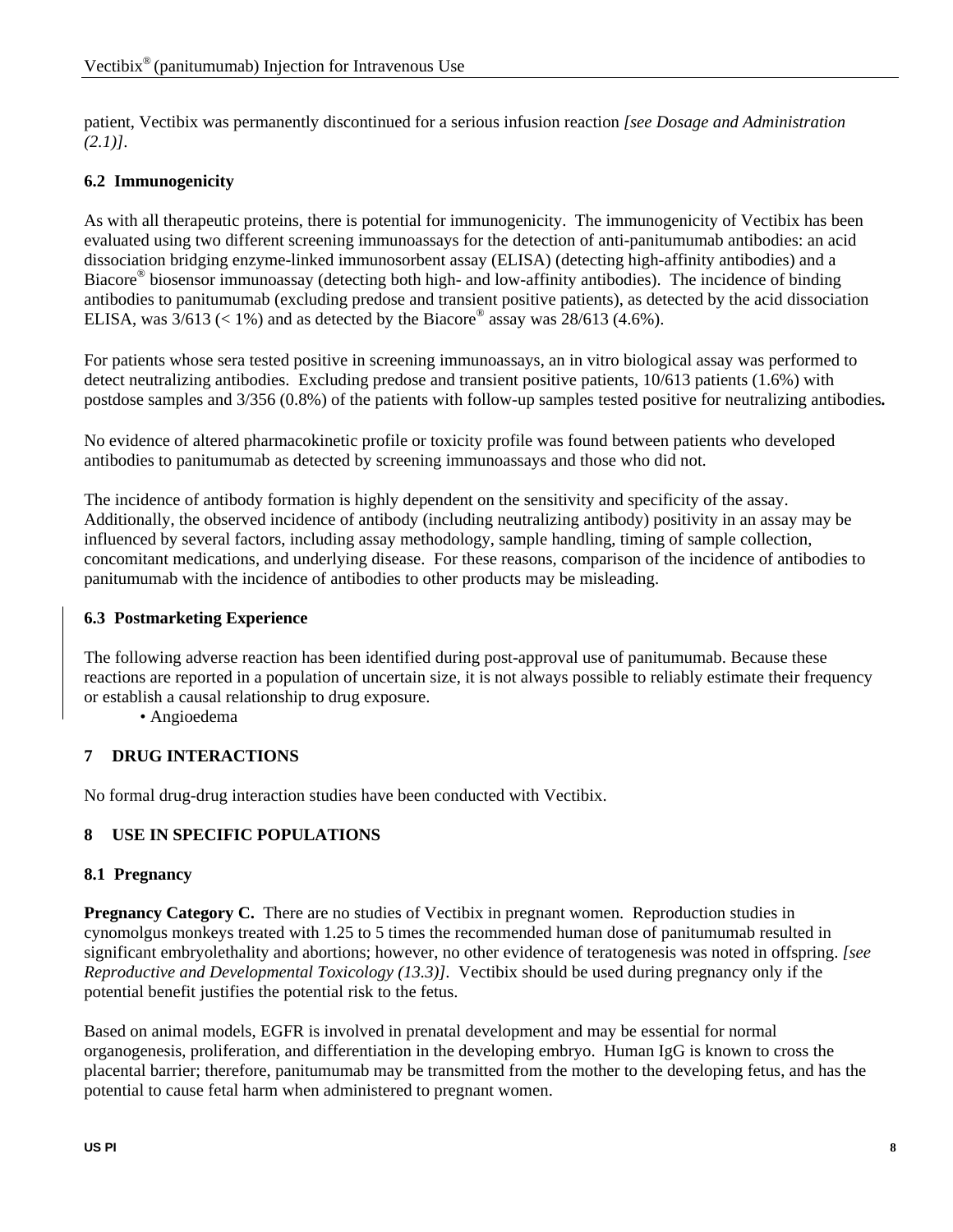patient, Vectibix was permanently discontinued for a serious infusion reaction *[see Dosage and Administration (2.1)]*.

# **6.2 Immunogenicity**

As with all therapeutic proteins, there is potential for immunogenicity. The immunogenicity of Vectibix has been evaluated using two different screening immunoassays for the detection of anti-panitumumab antibodies: an acid dissociation bridging enzyme-linked immunosorbent assay (ELISA) (detecting high-affinity antibodies) and a Biacore® biosensor immunoassay (detecting both high- and low-affinity antibodies). The incidence of binding antibodies to panitumumab (excluding predose and transient positive patients), as detected by the acid dissociation ELISA, was  $3/613$  (< 1%) and as detected by the Biacore® assay was  $28/613$  (4.6%).

For patients whose sera tested positive in screening immunoassays, an in vitro biological assay was performed to detect neutralizing antibodies. Excluding predose and transient positive patients, 10/613 patients (1.6%) with postdose samples and 3/356 (0.8%) of the patients with follow-up samples tested positive for neutralizing antibodies*.*

No evidence of altered pharmacokinetic profile or toxicity profile was found between patients who developed antibodies to panitumumab as detected by screening immunoassays and those who did not.

The incidence of antibody formation is highly dependent on the sensitivity and specificity of the assay. Additionally, the observed incidence of antibody (including neutralizing antibody) positivity in an assay may be influenced by several factors, including assay methodology, sample handling, timing of sample collection, concomitant medications, and underlying disease. For these reasons, comparison of the incidence of antibodies to panitumumab with the incidence of antibodies to other products may be misleading.

### **6.3 Postmarketing Experience**

The following adverse reaction has been identified during post-approval use of panitumumab. Because these reactions are reported in a population of uncertain size, it is not always possible to reliably estimate their frequency or establish a causal relationship to drug exposure.

• Angioedema

### **7 DRUG INTERACTIONS**

No formal drug-drug interaction studies have been conducted with Vectibix.

### **8 USE IN SPECIFIC POPULATIONS**

#### **8.1 Pregnancy**

**Pregnancy Category C.** There are no studies of Vectibix in pregnant women. Reproduction studies in cynomolgus monkeys treated with 1.25 to 5 times the recommended human dose of panitumumab resulted in significant embryolethality and abortions; however, no other evidence of teratogenesis was noted in offspring. *[see Reproductive and Developmental Toxicology (13.3)].* Vectibix should be used during pregnancy only if the potential benefit justifies the potential risk to the fetus.

Based on animal models, EGFR is involved in prenatal development and may be essential for normal organogenesis, proliferation, and differentiation in the developing embryo. Human IgG is known to cross the placental barrier; therefore, panitumumab may be transmitted from the mother to the developing fetus, and has the potential to cause fetal harm when administered to pregnant women.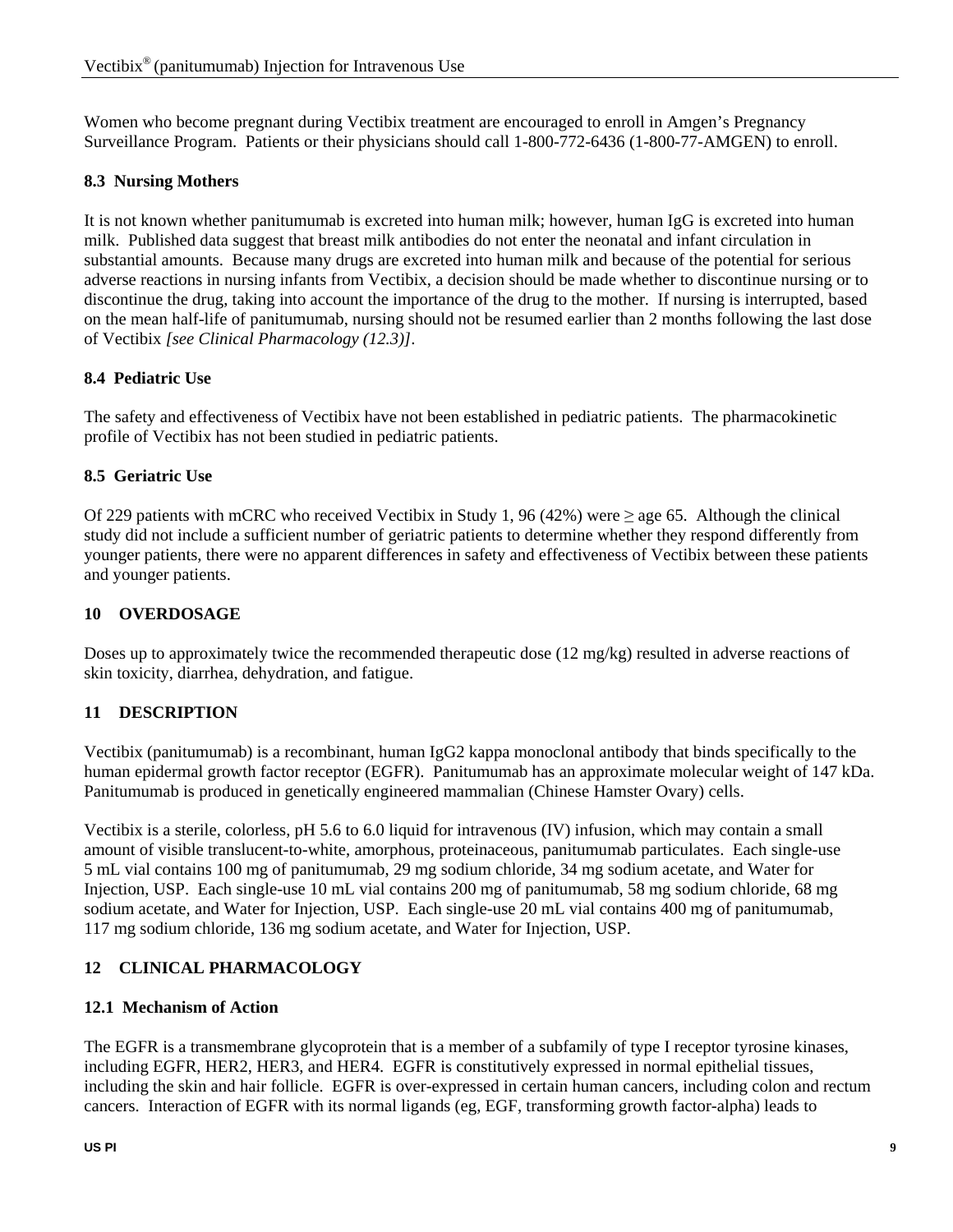Women who become pregnant during Vectibix treatment are encouraged to enroll in Amgen's Pregnancy Surveillance Program. Patients or their physicians should call 1-800-772-6436 (1-800-77-AMGEN) to enroll.

#### **8.3 Nursing Mothers**

It is not known whether panitumumab is excreted into human milk; however, human IgG is excreted into human milk. Published data suggest that breast milk antibodies do not enter the neonatal and infant circulation in substantial amounts. Because many drugs are excreted into human milk and because of the potential for serious adverse reactions in nursing infants from Vectibix, a decision should be made whether to discontinue nursing or to discontinue the drug, taking into account the importance of the drug to the mother. If nursing is interrupted, based on the mean half-life of panitumumab, nursing should not be resumed earlier than 2 months following the last dose of Vectibix *[see Clinical Pharmacology (12.3)]*.

#### **8.4 Pediatric Use**

The safety and effectiveness of Vectibix have not been established in pediatric patients. The pharmacokinetic profile of Vectibix has not been studied in pediatric patients.

#### **8.5 Geriatric Use**

Of 229 patients with mCRC who received Vectibix in Study 1, 96 (42%) were  $\geq$  age 65. Although the clinical study did not include a sufficient number of geriatric patients to determine whether they respond differently from younger patients, there were no apparent differences in safety and effectiveness of Vectibix between these patients and younger patients.

#### **10 OVERDOSAGE**

Doses up to approximately twice the recommended therapeutic dose (12 mg/kg) resulted in adverse reactions of skin toxicity, diarrhea, dehydration, and fatigue.

### **11 DESCRIPTION**

Vectibix (panitumumab) is a recombinant, human IgG2 kappa monoclonal antibody that binds specifically to the human epidermal growth factor receptor (EGFR). Panitumumab has an approximate molecular weight of 147 kDa. Panitumumab is produced in genetically engineered mammalian (Chinese Hamster Ovary) cells.

Vectibix is a sterile, colorless, pH 5.6 to 6.0 liquid for intravenous (IV) infusion, which may contain a small amount of visible translucent-to-white, amorphous, proteinaceous, panitumumab particulates. Each single-use 5 mL vial contains 100 mg of panitumumab, 29 mg sodium chloride, 34 mg sodium acetate, and Water for Injection, USP. Each single-use 10 mL vial contains 200 mg of panitumumab, 58 mg sodium chloride, 68 mg sodium acetate, and Water for Injection, USP. Each single-use 20 mL vial contains 400 mg of panitumumab, 117 mg sodium chloride, 136 mg sodium acetate, and Water for Injection, USP.

### **12 CLINICAL PHARMACOLOGY**

#### **12.1 Mechanism of Action**

The EGFR is a transmembrane glycoprotein that is a member of a subfamily of type I receptor tyrosine kinases, including EGFR, HER2, HER3, and HER4. EGFR is constitutively expressed in normal epithelial tissues, including the skin and hair follicle. EGFR is over-expressed in certain human cancers, including colon and rectum cancers. Interaction of EGFR with its normal ligands (eg, EGF, transforming growth factor-alpha) leads to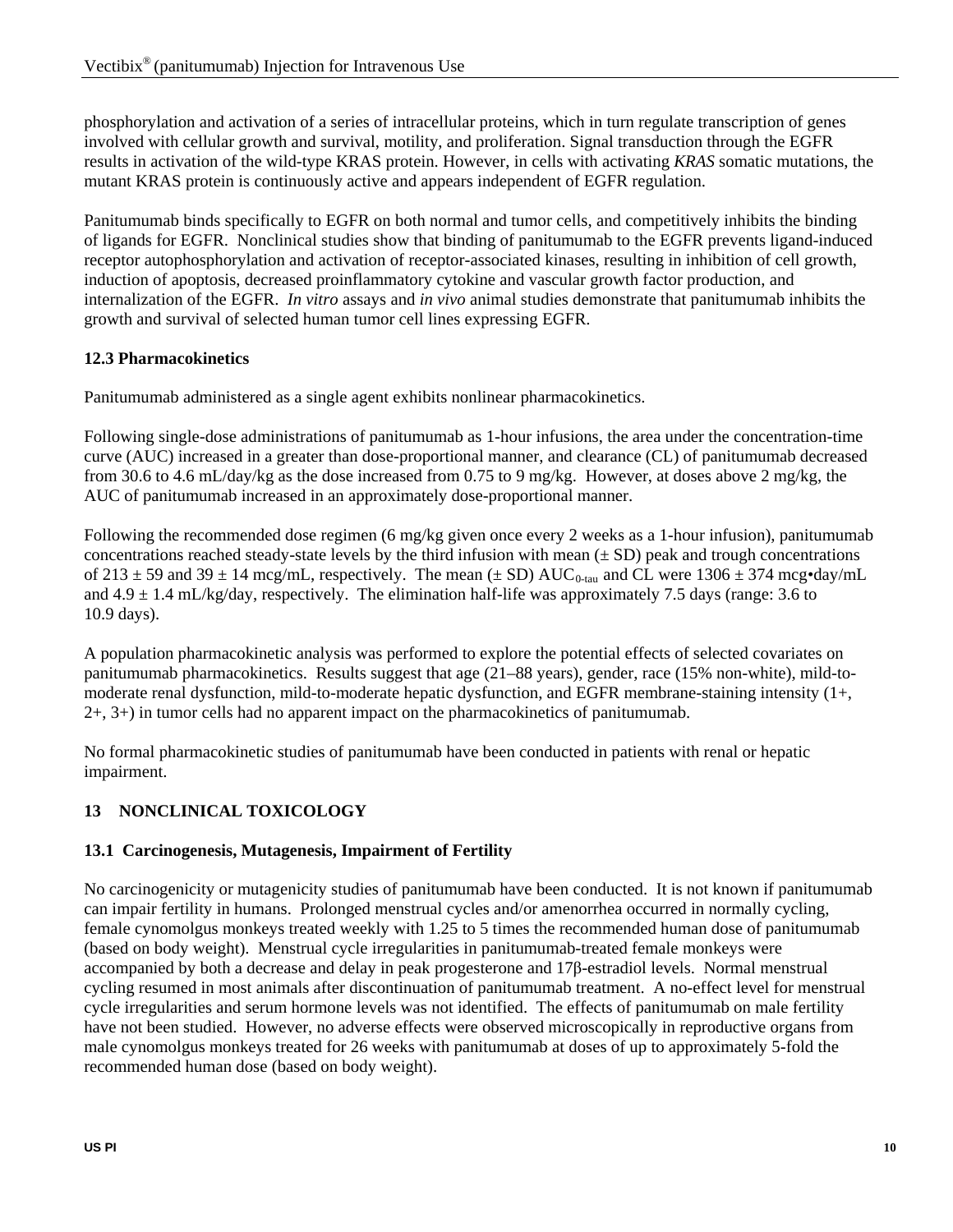phosphorylation and activation of a series of intracellular proteins, which in turn regulate transcription of genes involved with cellular growth and survival, motility, and proliferation. Signal transduction through the EGFR results in activation of the wild-type KRAS protein. However, in cells with activating *KRAS* somatic mutations, the mutant KRAS protein is continuously active and appears independent of EGFR regulation.

Panitumumab binds specifically to EGFR on both normal and tumor cells, and competitively inhibits the binding of ligands for EGFR. Nonclinical studies show that binding of panitumumab to the EGFR prevents ligand-induced receptor autophosphorylation and activation of receptor-associated kinases, resulting in inhibition of cell growth, induction of apoptosis, decreased proinflammatory cytokine and vascular growth factor production, and internalization of the EGFR. *In vitro* assays and *in vivo* animal studies demonstrate that panitumumab inhibits the growth and survival of selected human tumor cell lines expressing EGFR.

# **12.3 Pharmacokinetics**

Panitumumab administered as a single agent exhibits nonlinear pharmacokinetics.

Following single-dose administrations of panitumumab as 1-hour infusions, the area under the concentration-time curve (AUC) increased in a greater than dose-proportional manner, and clearance (CL) of panitumumab decreased from 30.6 to 4.6 mL/day/kg as the dose increased from 0.75 to 9 mg/kg. However, at doses above 2 mg/kg, the AUC of panitumumab increased in an approximately dose-proportional manner.

Following the recommended dose regimen (6 mg/kg given once every 2 weeks as a 1-hour infusion), panitumumab concentrations reached steady-state levels by the third infusion with mean  $(\pm SD)$  peak and trough concentrations of 213  $\pm$  59 and 39  $\pm$  14 mcg/mL, respectively. The mean ( $\pm$  SD) AUC<sub>0-tau</sub> and CL were 1306  $\pm$  374 mcg•day/mL and  $4.9 \pm 1.4$  mL/kg/day, respectively. The elimination half-life was approximately 7.5 days (range: 3.6 to 10.9 days).

A population pharmacokinetic analysis was performed to explore the potential effects of selected covariates on panitumumab pharmacokinetics. Results suggest that age (21–88 years), gender, race (15% non-white), mild-tomoderate renal dysfunction, mild-to-moderate hepatic dysfunction, and EGFR membrane-staining intensity (1+, 2+, 3+) in tumor cells had no apparent impact on the pharmacokinetics of panitumumab.

No formal pharmacokinetic studies of panitumumab have been conducted in patients with renal or hepatic impairment.

# **13 NONCLINICAL TOXICOLOGY**

# **13.1 Carcinogenesis, Mutagenesis, Impairment of Fertility**

No carcinogenicity or mutagenicity studies of panitumumab have been conducted. It is not known if panitumumab can impair fertility in humans. Prolonged menstrual cycles and/or amenorrhea occurred in normally cycling, female cynomolgus monkeys treated weekly with 1.25 to 5 times the recommended human dose of panitumumab (based on body weight). Menstrual cycle irregularities in panitumumab-treated female monkeys were accompanied by both a decrease and delay in peak progesterone and 17β-estradiol levels. Normal menstrual cycling resumed in most animals after discontinuation of panitumumab treatment. A no-effect level for menstrual cycle irregularities and serum hormone levels was not identified. The effects of panitumumab on male fertility have not been studied. However, no adverse effects were observed microscopically in reproductive organs from male cynomolgus monkeys treated for 26 weeks with panitumumab at doses of up to approximately 5-fold the recommended human dose (based on body weight).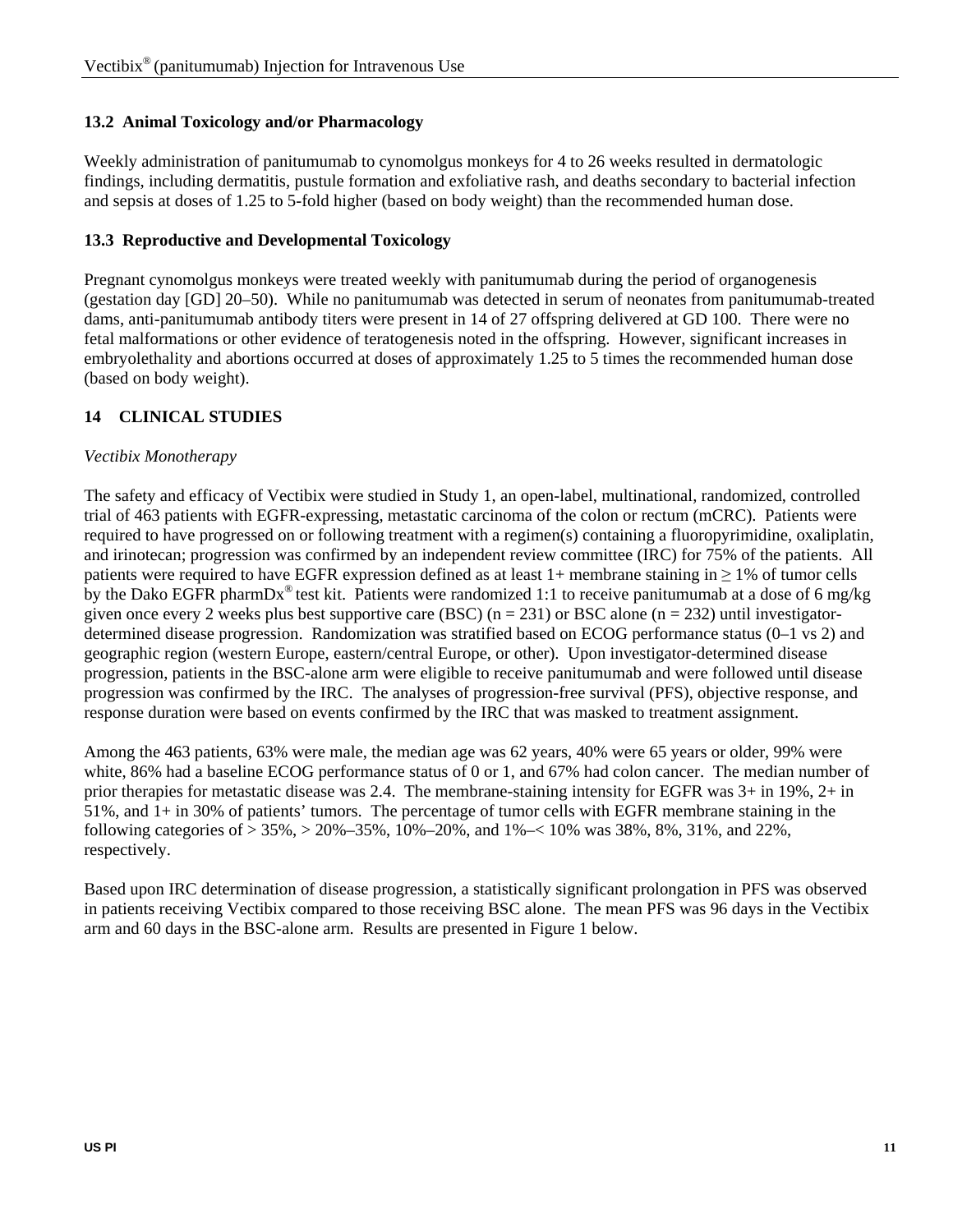# **13.2 Animal Toxicology and/or Pharmacology**

Weekly administration of panitumumab to cynomolgus monkeys for 4 to 26 weeks resulted in dermatologic findings, including dermatitis, pustule formation and exfoliative rash, and deaths secondary to bacterial infection and sepsis at doses of 1.25 to 5-fold higher (based on body weight) than the recommended human dose.

# **13.3 Reproductive and Developmental Toxicology**

Pregnant cynomolgus monkeys were treated weekly with panitumumab during the period of organogenesis (gestation day [GD] 20–50). While no panitumumab was detected in serum of neonates from panitumumab-treated dams, anti-panitumumab antibody titers were present in 14 of 27 offspring delivered at GD 100. There were no fetal malformations or other evidence of teratogenesis noted in the offspring. However, significant increases in embryolethality and abortions occurred at doses of approximately 1.25 to 5 times the recommended human dose (based on body weight).

# **14 CLINICAL STUDIES**

### *Vectibix Monotherapy*

The safety and efficacy of Vectibix were studied in Study 1, an open-label, multinational, randomized, controlled trial of 463 patients with EGFR-expressing, metastatic carcinoma of the colon or rectum (mCRC). Patients were required to have progressed on or following treatment with a regimen(s) containing a fluoropyrimidine, oxaliplatin, and irinotecan; progression was confirmed by an independent review committee (IRC) for 75% of the patients. All patients were required to have EGFR expression defined as at least  $1+$  membrane staining in  $>1\%$  of tumor cells by the Dako EGFR pharmDx<sup>®</sup> test kit. Patients were randomized 1:1 to receive panitumumab at a dose of 6 mg/kg given once every 2 weeks plus best supportive care (BSC) ( $n = 231$ ) or BSC alone ( $n = 232$ ) until investigatordetermined disease progression. Randomization was stratified based on ECOG performance status (0–1 vs 2) and geographic region (western Europe, eastern/central Europe, or other). Upon investigator-determined disease progression, patients in the BSC-alone arm were eligible to receive panitumumab and were followed until disease progression was confirmed by the IRC. The analyses of progression-free survival (PFS), objective response, and response duration were based on events confirmed by the IRC that was masked to treatment assignment.

Among the 463 patients, 63% were male, the median age was 62 years, 40% were 65 years or older, 99% were white, 86% had a baseline ECOG performance status of 0 or 1, and 67% had colon cancer. The median number of prior therapies for metastatic disease was 2.4. The membrane-staining intensity for EGFR was 3+ in 19%, 2+ in 51%, and 1+ in 30% of patients' tumors. The percentage of tumor cells with EGFR membrane staining in the following categories of > 35%, > 20%–35%, 10%–20%, and 1%–< 10% was 38%, 8%, 31%, and 22%, respectively.

Based upon IRC determination of disease progression, a statistically significant prolongation in PFS was observed in patients receiving Vectibix compared to those receiving BSC alone. The mean PFS was 96 days in the Vectibix arm and 60 days in the BSC-alone arm. Results are presented in Figure 1 below.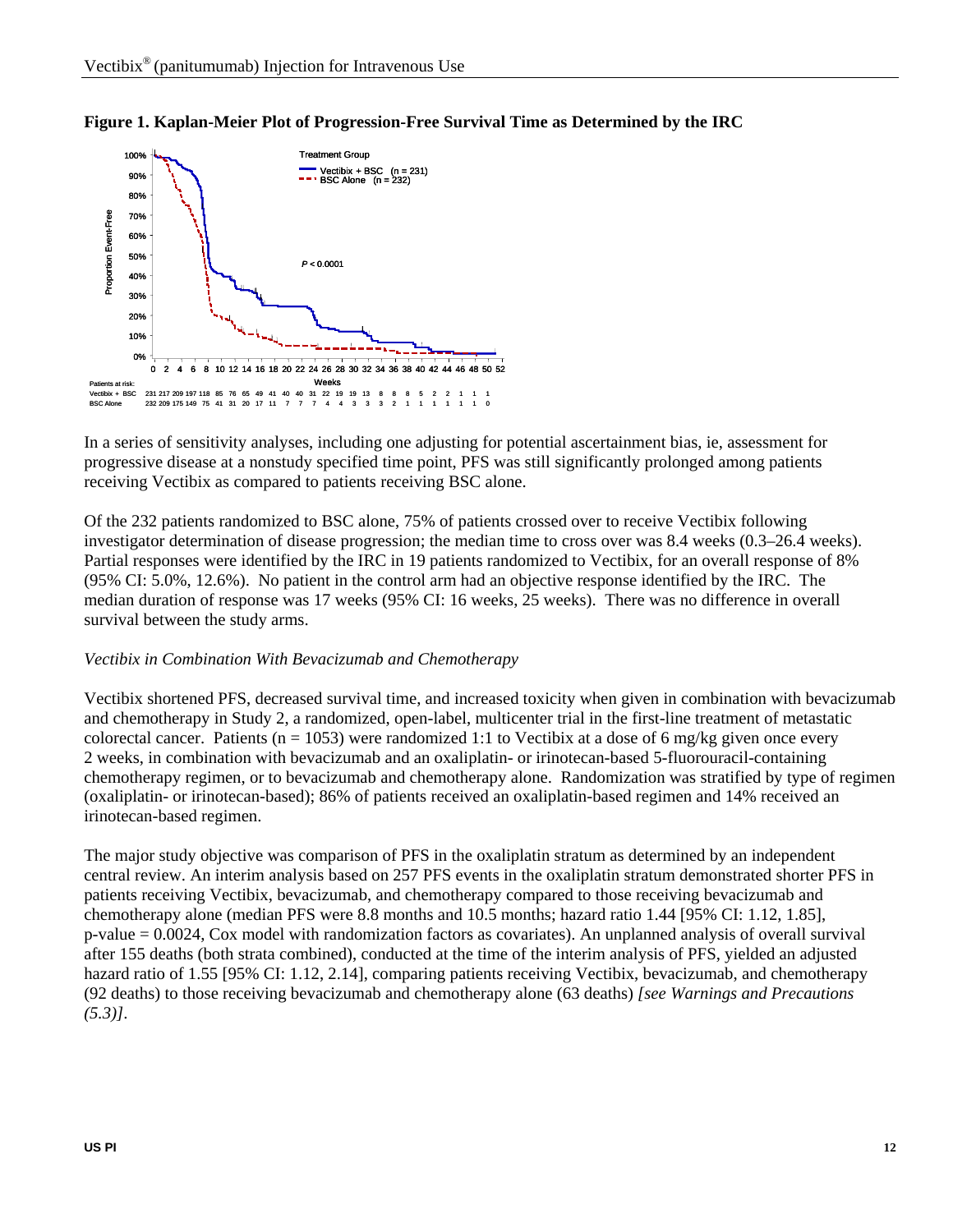



In a series of sensitivity analyses, including one adjusting for potential ascertainment bias, ie, assessment for progressive disease at a nonstudy specified time point, PFS was still significantly prolonged among patients receiving Vectibix as compared to patients receiving BSC alone.

Of the 232 patients randomized to BSC alone, 75% of patients crossed over to receive Vectibix following investigator determination of disease progression; the median time to cross over was 8.4 weeks (0.3–26.4 weeks). Partial responses were identified by the IRC in 19 patients randomized to Vectibix, for an overall response of 8% (95% CI: 5.0%, 12.6%). No patient in the control arm had an objective response identified by the IRC. The median duration of response was 17 weeks (95% CI: 16 weeks, 25 weeks). There was no difference in overall survival between the study arms.

#### *Vectibix in Combination With Bevacizumab and Chemotherapy*

Vectibix shortened PFS, decreased survival time, and increased toxicity when given in combination with bevacizumab and chemotherapy in Study 2, a randomized, open-label, multicenter trial in the first-line treatment of metastatic colorectal cancer. Patients (n = 1053) were randomized 1:1 to Vectibix at a dose of 6 mg/kg given once every 2 weeks, in combination with bevacizumab and an oxaliplatin- or irinotecan-based 5-fluorouracil-containing chemotherapy regimen, or to bevacizumab and chemotherapy alone. Randomization was stratified by type of regimen (oxaliplatin- or irinotecan-based); 86% of patients received an oxaliplatin-based regimen and 14% received an irinotecan-based regimen.

The major study objective was comparison of PFS in the oxaliplatin stratum as determined by an independent central review. An interim analysis based on 257 PFS events in the oxaliplatin stratum demonstrated shorter PFS in patients receiving Vectibix, bevacizumab, and chemotherapy compared to those receiving bevacizumab and chemotherapy alone (median PFS were 8.8 months and 10.5 months; hazard ratio 1.44 [95% CI: 1.12, 1.85], p-value = 0.0024, Cox model with randomization factors as covariates). An unplanned analysis of overall survival after 155 deaths (both strata combined), conducted at the time of the interim analysis of PFS, yielded an adjusted hazard ratio of 1.55 [95% CI: 1.12, 2.14], comparing patients receiving Vectibix, bevacizumab, and chemotherapy (92 deaths) to those receiving bevacizumab and chemotherapy alone (63 deaths) *[see Warnings and Precautions (5.3)]*.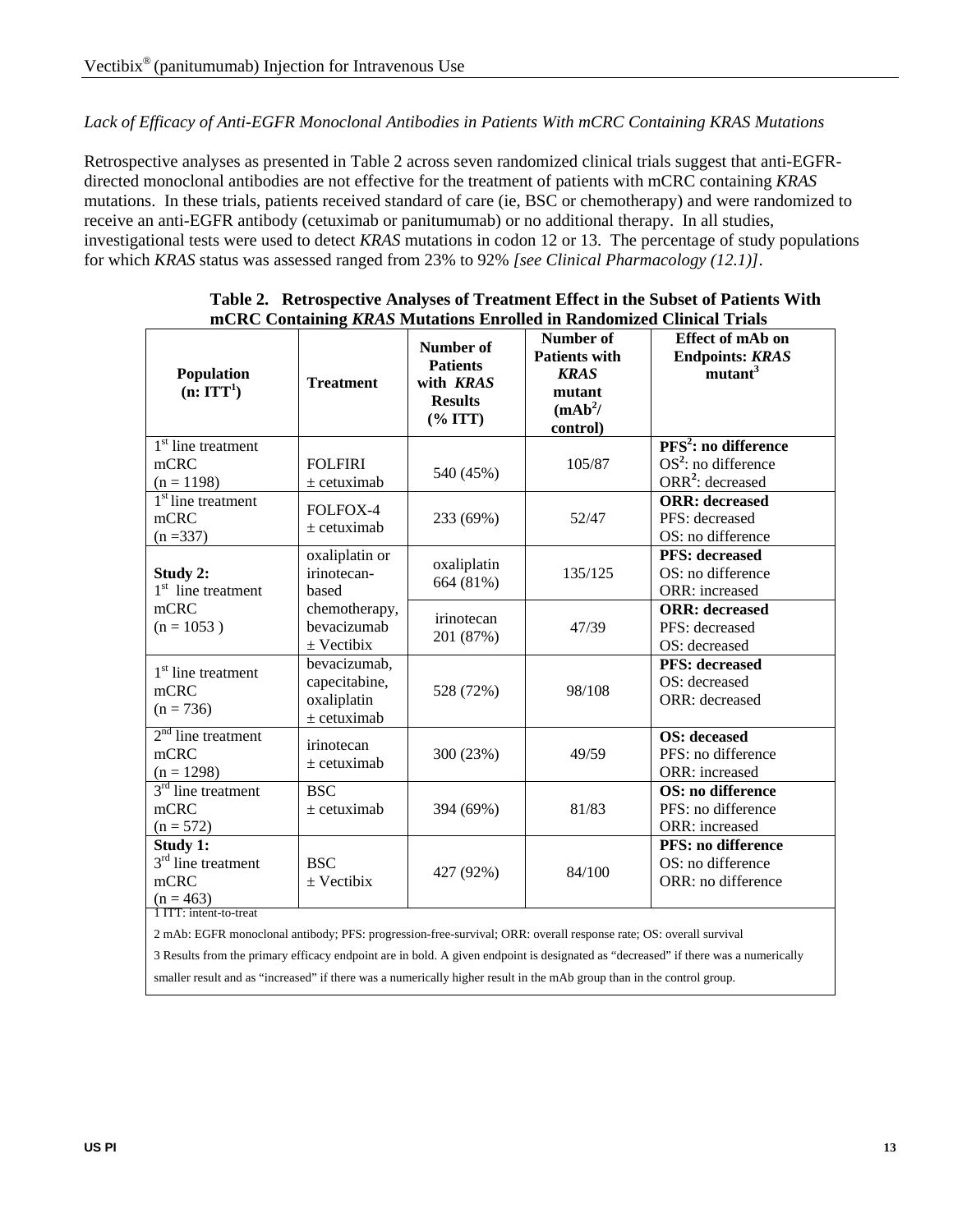#### *Lack of Efficacy of Anti-EGFR Monoclonal Antibodies in Patients With mCRC Containing KRAS Mutations*

Retrospective analyses as presented in Table 2 across seven randomized clinical trials suggest that anti-EGFRdirected monoclonal antibodies are not effective for the treatment of patients with mCRC containing *KRAS* mutations. In these trials, patients received standard of care (ie, BSC or chemotherapy) and were randomized to receive an anti-EGFR antibody (cetuximab or panitumumab) or no additional therapy. In all studies, investigational tests were used to detect *KRAS* mutations in codon 12 or 13. The percentage of study populations for which *KRAS* status was assessed ranged from 23% to 92% *[see Clinical Pharmacology (12.1)]*.

| Table 2. Retrospective Analyses of Treatment Effect in the Subset of Patients With<br>mCRC Containing KRAS Mutations Enrolled in Randomized Clinical Trials |           |                            |                                                            |  |
|-------------------------------------------------------------------------------------------------------------------------------------------------------------|-----------|----------------------------|------------------------------------------------------------|--|
|                                                                                                                                                             | Number of | Number of<br>Dotionts with | <b>Effect of mAb on</b><br>$\Gamma$ ndnointe: $\Gamma$ DAS |  |

| <b>Population</b><br>(n: ITT <sup>1</sup> )                                       | <b>Treatment</b>                                              | Number of<br><b>Patients</b><br>with <b>KRAS</b><br><b>Results</b><br>$(\% \, ITT)$ | Number of<br><b>Patients with</b><br><b>KRAS</b><br>mutant<br>(mAb <sup>2</sup> /<br>control) | <b>Effect of mAb on</b><br><b>Endpoints: KRAS</b><br>mutant <sup>3</sup>        |
|-----------------------------------------------------------------------------------|---------------------------------------------------------------|-------------------------------------------------------------------------------------|-----------------------------------------------------------------------------------------------|---------------------------------------------------------------------------------|
| $\overline{1^{st}}$ line treatment<br>mCRC<br>$(n = 1198)$                        | <b>FOLFIRI</b><br>$\pm$ cetuximab                             | 540 (45%)                                                                           | 105/87                                                                                        | $PFS2$ : no difference<br>$OS2$ : no difference<br>ORR <sup>2</sup> : decreased |
| $1st$ line treatment<br>mCRC<br>$(n = 337)$                                       | FOLFOX-4<br>$\pm$ cetuximab                                   | 233 (69%)                                                                           | 52/47                                                                                         | <b>ORR</b> : decreased<br>PFS: decreased<br>OS: no difference                   |
| Study 2:<br>$1st$ line treatment                                                  | oxaliplatin or<br>irinotecan-<br>based                        | oxaliplatin<br>664 (81%)                                                            | 135/125                                                                                       | <b>PFS:</b> decreased<br>OS: no difference<br>ORR: increased                    |
| mCRC<br>$(n = 1053)$                                                              | chemotherapy,<br>bevacizumab<br>$\pm$ Vectibix                | irinotecan<br>201 (87%)                                                             | 47/39                                                                                         | <b>ORR</b> : decreased<br>PFS: decreased<br>OS: decreased                       |
| $1st$ line treatment<br>mCRC<br>$(n = 736)$                                       | bevacizumab,<br>capecitabine,<br>oxaliplatin<br>$±$ cetuximab | 528 (72%)                                                                           | 98/108                                                                                        | <b>PFS:</b> decreased<br>OS: decreased<br><b>ORR</b> : decreased                |
| $2nd$ line treatment<br>mCRC<br>$(n = 1298)$                                      | irinotecan<br>$\pm$ cetuximab                                 | 300 (23%)                                                                           | 49/59                                                                                         | <b>OS:</b> deceased<br>PFS: no difference<br>ORR: increased                     |
| $3rd$ line treatment<br>mcRC<br>$(n = 572)$                                       | <b>BSC</b><br>$±$ cetuximab                                   | 394 (69%)                                                                           | 81/83                                                                                         | OS: no difference<br>PFS: no difference<br>ORR: increased                       |
| Study 1:<br>$3rd$ line treatment<br>mCRC<br>$(n = 463)$<br>1 ITT: intent-to-treat | <b>BSC</b><br>$\pm$ Vectibix                                  | 427 (92%)                                                                           | 84/100                                                                                        | <b>PFS: no difference</b><br>OS: no difference<br>ORR: no difference            |

2 mAb: EGFR monoclonal antibody; PFS: progression-free-survival; ORR: overall response rate; OS: overall survival

3 Results from the primary efficacy endpoint are in bold. A given endpoint is designated as "decreased" if there was a numerically smaller result and as "increased" if there was a numerically higher result in the mAb group than in the control group.